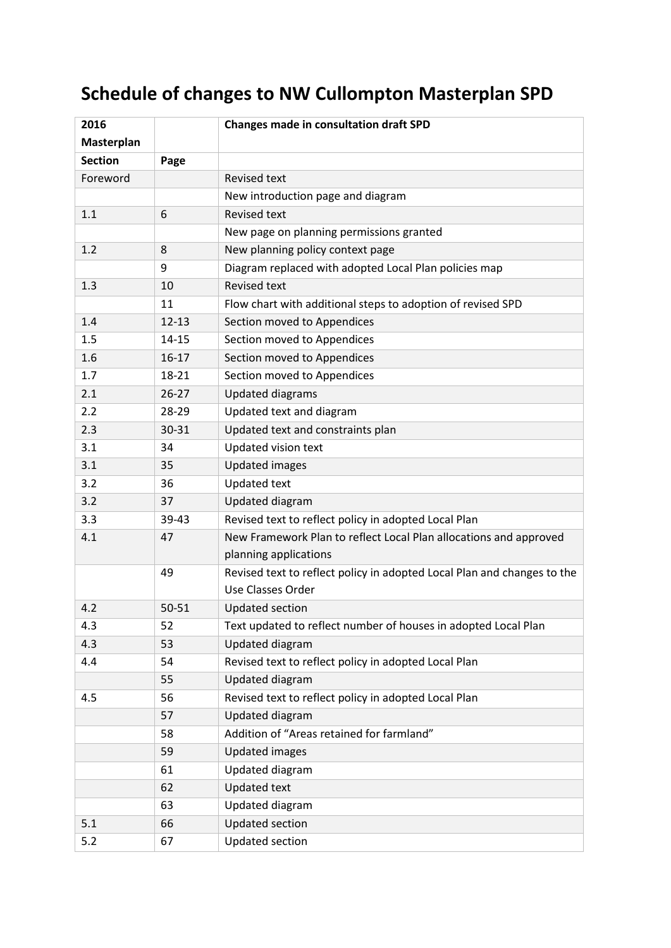## **Schedule of changes to NW Cullompton Masterplan SPD**

| 2016           |           | <b>Changes made in consultation draft SPD</b>                           |
|----------------|-----------|-------------------------------------------------------------------------|
| Masterplan     |           |                                                                         |
| <b>Section</b> | Page      |                                                                         |
| Foreword       |           | <b>Revised text</b>                                                     |
|                |           | New introduction page and diagram                                       |
| 1.1            | 6         | <b>Revised text</b>                                                     |
|                |           | New page on planning permissions granted                                |
| 1.2            | 8         | New planning policy context page                                        |
|                | 9         | Diagram replaced with adopted Local Plan policies map                   |
| 1.3            | 10        | <b>Revised text</b>                                                     |
|                | 11        | Flow chart with additional steps to adoption of revised SPD             |
| 1.4            | $12 - 13$ | Section moved to Appendices                                             |
| 1.5            | $14 - 15$ | Section moved to Appendices                                             |
| 1.6            | $16-17$   | Section moved to Appendices                                             |
| 1.7            | 18-21     | Section moved to Appendices                                             |
| 2.1            | $26 - 27$ | <b>Updated diagrams</b>                                                 |
| 2.2            | 28-29     | Updated text and diagram                                                |
| 2.3            | 30-31     | Updated text and constraints plan                                       |
| 3.1            | 34        | Updated vision text                                                     |
| 3.1            | 35        | <b>Updated images</b>                                                   |
| 3.2            | 36        | <b>Updated text</b>                                                     |
| 3.2            | 37        | Updated diagram                                                         |
| 3.3            | 39-43     | Revised text to reflect policy in adopted Local Plan                    |
| 4.1            | 47        | New Framework Plan to reflect Local Plan allocations and approved       |
|                |           | planning applications                                                   |
|                | 49        | Revised text to reflect policy in adopted Local Plan and changes to the |
|                |           | Use Classes Order                                                       |
| 4.2            | 50-51     | <b>Updated section</b>                                                  |
| 4.3            | 52        | Text updated to reflect number of houses in adopted Local Plan          |
| 4.3            | 53        | Updated diagram                                                         |
| 4.4            | 54        | Revised text to reflect policy in adopted Local Plan                    |
|                | 55        | <b>Updated diagram</b>                                                  |
| 4.5            | 56        | Revised text to reflect policy in adopted Local Plan                    |
|                | 57        | <b>Updated diagram</b>                                                  |
|                | 58        | Addition of "Areas retained for farmland"                               |
|                | 59        | <b>Updated images</b>                                                   |
|                | 61        | Updated diagram                                                         |
|                | 62        | <b>Updated text</b>                                                     |
|                | 63        | Updated diagram                                                         |
| 5.1            | 66        | Updated section                                                         |
| 5.2            | 67        | Updated section                                                         |